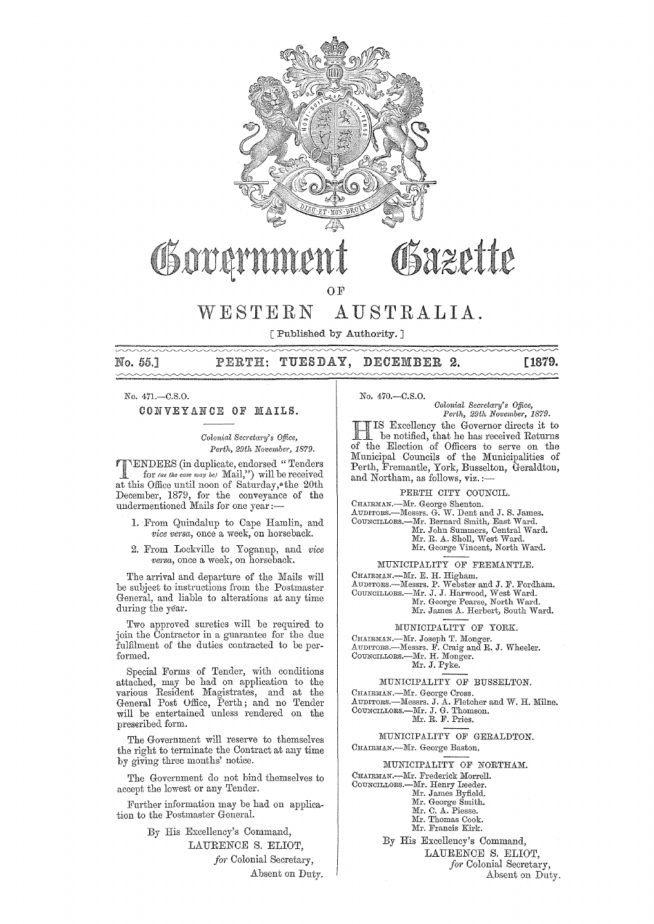

# OSazette Govan

OF

# WESTERN AUSTRALIA.

[Published by Authority. ]

# 55,] TUESDAY, DECEMBER **2.** [1879.

No. 471.-C.S.O.

CONVEYANCE OF MAILS.

 $Colonial$  Secretary's Office, *Pm·th, 29th Novembe?', 1879,* 

**FENDERS** (in duplicate, endorsed "Tenders  $\Box$  for (as the case may be) Mail,") will be received at this Office until noon of Saturday,\*the 20th December, 1879, for the conveyance of the undermentioned Mails for one year ;-

- 1. From Quindalup to Cape Hamlin, and *vice versn,* once a week, on horseback.
- 2. From Lockville to Yoganup, and *vice versa*, once a week, on horseback.

The arrival and departure of the Mails will be subject to instructions from the Postmaster General, and liable to alterations at any time during the year.

Two approved sureties will be required to join the Contractor in a guarantee for the due fulfilment of the duties contracted to be performed.

Special Forms of Tender, with conditions attached, may be had on application to the various Resident Magistrates, and at the General Post Office, Perth; and no Tender will be entertained unless rendered on the preseribed form.

The Government will reserve to themselves the right to terminate the Contract at any time by giving three months' notice.

The Government do not bind themselves to accept the lowest or any Tender.

Further information may be had on application to the Postmaster General.

> By His Excellency's Command, LAURENCE S. ELIOT, for Colonial Secretary, Absent on Duty.

No. 470.-C.S.0.

*Colonial Secretary's Office, Perth, 29th November, 1879.* 

IS Excellency the Governor directs it to be notified, that he has received Returns of the Election of Officers to serve on the Municipal Councils of the Municipalities of Perth, Fremantle, York, Busselton, Geraldton, and Northam, as follows, viz.;-

PERTH CITY COUNCIL.

CHAI:RMAN.—Mr. George Shenton.<br>AUDITORS.—Messrs. G. W. Dent and J. S. James.<br>COUNCILLORS.—Mr. Bernard Smith, East Ward.<br>Mr. John Summers, Central Ward.<br>Mr. R. A. Sholl, West Ward.

Mr. George Vincent, North Ward.

MUNICIPALITY OF FREMANTLE.

CHAJRMAN.—Mr. E. H. Higham.<br>AUDITORS.—Messrs. P. Webster and J. F. Fordham.<br>COUNCILLORS.—Mr. J. J. Harwood, West Ward.<br>Mr. George Pearse, North Ward.

Mr. James A. Herbert, South Ward.

MUNICIPALITY OF YORK.

CHAIRMAN,---Mr. Joseph T. Monger.<br>AUDITORS,---Messrs. F. Craig and R. J. Wheeler.<br>COUNCILLORS,----Mr. H. Monger.

Mr. J. Pyke.

# MUNICIPALITY OF BUSSELTON,

CHAIRMAN.-Mr. George Cross. AUDITORS.—Messrs. J. A. Fletcher and W. H. Milne.<br>COUNCILLORS.—Mr. J. G. Thomson.<br>Mr. R. F. Pries.

MUNICIPALITY OF GERALDTON. CHAIRMAN.-Mr. George Baston.

MUNICIPALITY OF NORTHAM.

CHAIRMAN.-Mr. Frederick Morrell.

- COUNCILLORS.—Mr. Henry Leeder.<br>Mr. James Byfield.
	- - Mr. George Smith.<br>Mr. C. A. Piesse.
		- Mr. Thomas Cook.
		- Mr. Francis Kirk.

By His Excellency's Command, LAURENCE S. ELIOT, *ja?'* Colonial Secretary, Absent on Duty.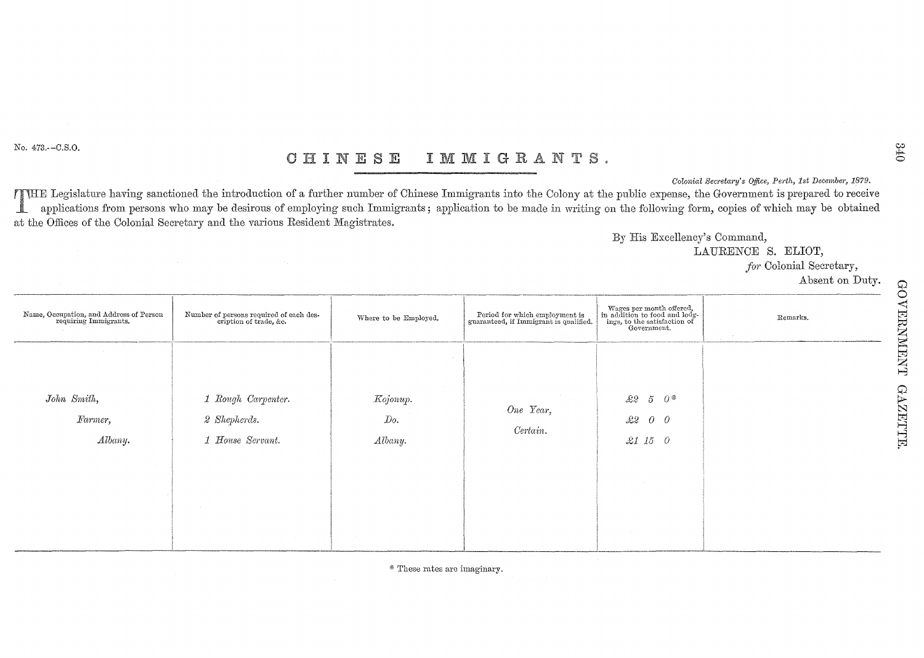No. 473.--C.S.O.

#### IMMIGRANTS. CHINESE

Colonial Secretary's Office, Perth, 1st December, 1879.

ITHE Legislature having sanctioned the introduction of a further number of Chinese Immigrants into the Colony at the public expense, the Government is prepared to receive applications from persons who may be desirous of employing such Immigrants; application to be made in writing on the following form, copies of which may be obtained ▁▊▁ at the Offices of the Colonial Secretary and the various Resident Magistrates.

By His Excellency's Command,

LAURENCE S. ELIOT.

for Colonial Secretary,

Absent on Duty.

| Name, Occupation, and Address of Person<br>requiring Immigrants. | Number of persons required of each description of trade, &c.                | Where to be Employed.                                                               | Period for which employment is<br>guaranteed, if Immigrant is qualified. | $\begin{tabular}{l} \hline \texttt{Wages per month offered,} \\ \hbox{in addition to food and lodgings, to the satisfaction of Government.} \end{tabular}$ | Remarks.<br>$\sim 100$ |
|------------------------------------------------------------------|-----------------------------------------------------------------------------|-------------------------------------------------------------------------------------|--------------------------------------------------------------------------|------------------------------------------------------------------------------------------------------------------------------------------------------------|------------------------|
| John Smith,<br>Farmer,<br>Albany.                                | 1 Rough Carpenter.<br>2 Shepherds.<br>1 House Servant.<br><b>Contractor</b> | <b>COLLECT</b><br>Kojonup.<br>Do.<br>Albany.<br>$\sim 10^{-1}$<br><b>Contractor</b> | <b>Contractor</b><br>One Year,<br>Certain.<br><b>College</b>             | $5\quad0$ *<br>$\pounds\!\!\!\!\!\!\!2$<br>$\pounds\pounds\pounds$<br>$\begin{matrix} 0 & 0 \end{matrix}$<br>$15$ 0<br>$\mathscr{Z}1$<br><b>Contractor</b> |                        |

\* These rates are imaginary.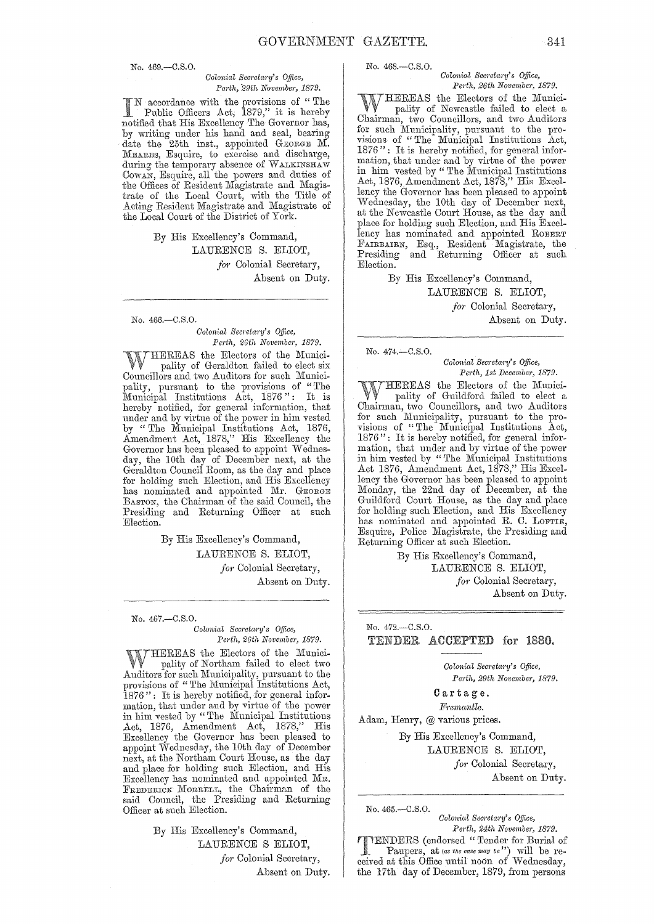No. 469.-C.S.0.

#### *Colonial Secretary's Office, Porth, :29th November, 1879.*

accordance with the provisions of " The Public Officers Act, 1879," it is hereby notified that His Excellency The Governor has, by writing under his hand and seal, bearing date the 25th inst., appointed GEORGE M. MEARES, Esquire, to exercise and discharge, during the temporary absence of WALKINSHAW COWAN, Esquire, all the powers and duties of the Offices of Resident Magistrate and Magistrate of the Local Court, with the Title of Acting Resident Magistrate and Magistrate of the Local Court of the District of York.

> By His Excellency's Command, LAURENCE S. ELIOT, for Colonial Secretary, Absent on Duty.

No. 466.-C.S.O.

*Colonial Secretary's Office,* Perth, 26th November, 1879.

THEREAS the Electors of the Municipality of Geraldton failed to elect six Councillors and two Auditors for such Municipality, pursuant to the provisions of "The Municipal Institutions Act, 1876": It is hereby notified, for general information, that under and by virtue of the power in him vested by "The Municipal Institutions Act, 1876, Amendment Act, 1878," His Excellency the Governor has been pleased to appoint Wednesday, the 10th day of December next, at the Geraldton Council Room, as the day and place for holding such Election, and His Excellency has nominated and appointed Mr. GEORGE BAsToN, the Chairman of the said Council, the Presiding and Returning Officer at such Election.

> By His Excellency's Command, LAURENCE S. ELIOT, for Colonial Secretary, Absent on Duty.

No. 467.-C.S.O.

*Colonial Secretctry's Office, Perth, 26th November, 1879.* 

 $\begin{array}{c} \gamma_{\text{HEREAS}} \\ \text{pality of Northam failed to elect two} \end{array}$ Auditors for such Municipality, pursuant to the provisions of "The Municipal Institutions Act, 1876": It is hereby notified, for general information, that under and by virtue of the power in him vested by "The Municipal Institutious Act, 1876, Amendment Act, 1878," His Excellency the Governor has been pleased to appoint 'Wednesday, the 10th day of December next, at the Northam Court House, as the day and place for holding such Election, and His Excellency has nominated and appointed MR. FREDERICK MORRELL, the Chairman of the said Council, the Presiding and Returning Officer at such Election.

> By His Excellency's Command, LAURENCE S ELIOT, for Colonial Secretary, Absent on Duty.

No. 468.-C.S.O.

#### *Colonial Secretary's O:!jice, Perth, 26th November, 1879.*

WHEREAS the Electors of the Munici-<br>W pality of Newcastle failed to elect a Chairman, two Councillors, and two Auditors for such Municipality, pursuant to the provisions of "The Municipal Institutions Act, 1876": It is hereby notified, for general infor mation, that under and by virtue of the power in him vested by "The Municipal Institutions" Act, 1876, Amendment Act, 1878," His Excellency the Governor has been pleased to appoint Wednesday, the 10th day of December next, at the Newcastle Court House, as the day and place for holding such Election, and His Excellency has nominated and appointed ROBERT FAIRBAIRN, Esq., Resident Magistrate, the Presiding and Returning Officer at such Election.

> By His Excellency's Command, LAURENCE S. ELIOT, *for* Colonial Secretary, Absent on Duty.

No. 474.-C.S.O.

*Colonial Secretary's Office, Perth, 1st December, 1879.* 

WHEREAS the Electors of the Munici-<br>Chairman, two Councillors, and two Auditors for such Municipality, pursuant to the provisions of "The Municipal Institutions Act, 1876": It is hereby notified, for general information, that under and by virtue of the power in him vested by "The Municipal Institutions Act 1876, Amendment Act, 1878," His Excellency the Governor has been pleased to appoint Monday, the 22nd day of December, at the Guildford Court House, as the day and place for holding such Election, and His Excellency has nominated and appointed R. C. LOFTIE, Esquire, Police Magistrate, the Presiding and Returning Officer at such Election.

> By His Excellency's Command, LAURENCE S. ELIOT, for Colonial Secretary, Absent on Duty.

# No. 472.-C.S.O. TENDER ACCEPTED for 1880.

*Co lonial Sec)'etal"Y's Office, Perth, 29th Novembe)', 1879.* 

Cartage. *Fremantle.* 

Adam, Henry, @ various prices.

By His Excellency's Command, LAURENCE S. ELIOT, for Colonial Secretary, Absent on Duty.

No. 465.-C.S.O. *Colonial Secretary's Office,* 

*Perth, 24th November, 1879.*  TTENDERS (endorsed "Tender for Burial of Paupers, at *(as the case may be*") will be received at this Office until noon of Wednesday, the 17th day of December, 1879, from persons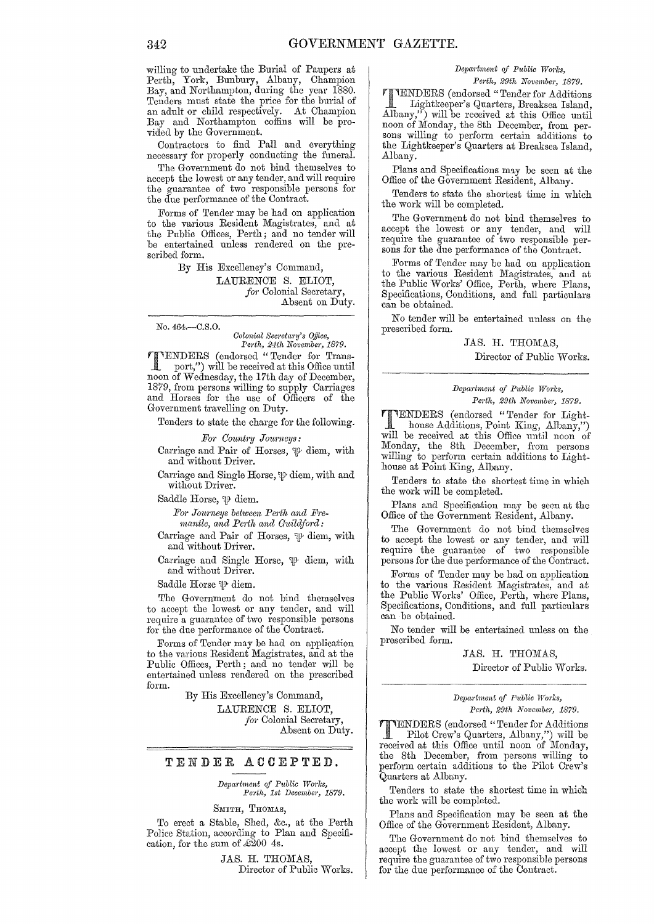willing to undertake the Burial of Paupers at Perth~ York, Bunbury, Albany, Champion Bay, and Northampton, during the year 1880. Tenders must state the price for the burial of an adult or child respectively. At Champion Bay and Northampton coffins will be provided by the Government.

Contractors to find Pall and everything necessary for properly conducting the funeral.

The Government do not bind themselves to accept the lowest or any tender, and will require the guarantee of two responsible persons for the due performance of the Contract.

Forms of Tender may be had on application to the various Resident Magistrates, and at the Public Offices, Perth; and no tender will be entertained unless rendered on the prescribed form.

> By His Excellency's Command, LAURENCE S. ELIOT,

*for* Colonial Secretary, Absent on Duty.

No. 464.-C.S.O.

*Oolonial SeC1'eta1'y's Office, Perth, 24th Novembe7', 1879.* 

TENDERS (endorsed" Tender for Transport,") will be received at this Office until noon of Wednesday, the 17th day of December, 1879, from persons willing to supply Carriages and Horses for the use of Officers of the Government travelling on Duty.

Tenders to state the charge for the following.

 $For$  Country Journeys:

Carriage and Pair of Horses,  $\psi$  diem, with and without Driver.

Carriage and Single Horse,  $\mathcal P$  diem, with and without Driver.

Saddle Horse,  $\mathcal P$  diem.

For Journeys between Perth and Fre*mantle, and Perth and Guildford:* 

Carriage and Pair of Horses,  $\mathcal P$  diem, with and without Driver.

Carriage and Single Horse,  $\mathfrak{P}$  diem, with and without Driver.

Saddle Horse  $\mathcal P$  diem.

The Government do not bind themselves to accept the lowest or any tender, and will require a guarantee of two responsible persons for the due performance of the Contract.

Forms of Tender may be had on application to the various Resident Magistrates, and at the Public Offices, Perth; and no tender will be entertained unless rendered on the prescribed form.

By His Excellency's Command,

LAURENCE S. ELIOT, *for* Colonial Secretary, Absent on Duty.

# TENDER ACCEPTED.

*Department of Public Works,* Perth, 1st December, 1879.

SMITH, THOMAS,

To erect a Stable, Shed, &c., at the Perth Police Station, according to Plan and Specification, for the sum of  $\mathcal{L}200$  4s.

> JAS. H. THOMAS, Director of Public Works.

# *Depal'tment of Public Works,*

*Perth, 29th November, 1879.* 

TENDERS (endorsed "Tenderfor Additions Lightkeeper's Quarters, Breaksea Island, Albany,") will be received at this Office until<br>noon of Monday, the 8th December, from pernoon of Monday, the 8th December, from per-<br>sons willing to perform certain additions to the Lightkeeper's Quarters at Breaksea Island, Albany.

Plans and Specifications may be seen at the Office of the Government Resident, Albany.

Tenders to state the shortest time in which the work will be completed.

The Government do not bind themselves to accept the lowest or any tender, and will require the guarantee of two responsible per- sons for the due performance of the Contract.

Forms of Tender may be had on application to the various Resident Magistrates, and at the Public Works' Office, Perth, where Plans, Specifications, Conditions, and full particulars can be obtained.

No tender will be entertained unless on the prescribed form.

JAS. H. THOMAS.

Director of Public Works.

## *Department of P1tblic Works, Pel'fh, 29th November, 1879.*

**TTENDERS** (endorsed "Tender for Light-<br>house Additions, Point King, Albany,") will be received at this Office until noon of Monday, the 8th December, from persons willing to perform certain additions to Lighthouse at Point King, Albany.

Tenders to state the shortest time in which the work will be completed.

Plans and Specification may be seen at the Office of the Government Resident, Albany.

The Government do not bind themselves to accept the lowest or any tender, and will require the guarantee of two responsible persons for the due performance of the Contract.

Forms of Tender may be had on application to the various Resident Magistrates, and at the Public Works' Office, Perth, whero Plans, Specifications, Conditions, and full particulars can be obtained.

No tender will be entertained unless on the prescribed form.

JAS. H. THOMAS,

Director of Public Works.

*Department of Pttblic Works, Pel'th, 29th November, 1879.* 

VENDERS (endorsed "Tender for Additions Pilot Crew's Quarters, Albany,") will be received at this Office until noon of Monday, the 8th December, from persons willing to perform certain additions to the Pilot Crew's Quarters at Albany.

Tenders to state the shortest time in which the work will be completed.

Plans and Specification may be seen at the Office of the Government Resident, Albany.

The Government do not bind themselves to accept the lowest or any tender, and will require the guarantee of two responsible persons for the due performance of the Contract.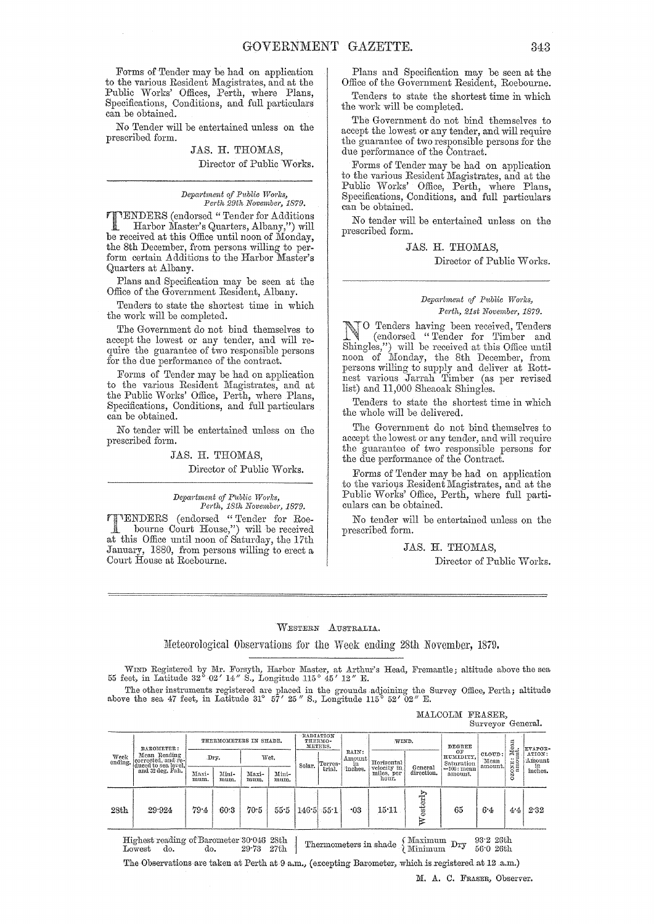Forms of Tender may be had on application to the various Resident Magistrates, and at the Public Works' Offices, Perth, where Plans, Specifications, Conditions, and full particulars can be obtained.

No Tender will be entertained unless on the prescribed form.

JAS. H. THOMAS,

Director of Public Works.

*Depa1-tment of Pttblic Works, Perth 29th November, 1879.* 

**THENDERS** (endorsed "Tender for Additions Harbor Master's Quarters, Albany,") will be received at this Office until noon of Monday, the 8th December, from persons willing to perform certain Additions to the Harbor Master's Quarters at Albany.

Plans and Specification may be seen at the Office of the Government Resident, Albany.

Tenders to state the shortest time in which the work will be completed.

The Government do not bind themselves to accept the lowest or any tender, and will require the guarantee of two responsible persons for the due performance of the contract.

Forms of Tender may be had on application to the various Resident Magistrates, and at the Public Works' Office, Perth, where Plans, Specifications, Conditions, and full particulars can be obtained.

No tender will be entertained unless on tile prescribed form.

# JAS. H. THOMAS,

Director of Public Works.

#### Department of Public Works, *Pel'th, 18th November, 1879.*

TENDERS (endorsed "Tender for Roe-bourne Court House,") will be received at this Office until noon of Saturday, the 17th January, 1880, from persons willing to erect a Court House at Roebourne.

Plans and Specification may be seen at the Office of the Government Resident, Roebourne.

Tenders to state the shortest time in which the work will be completed.

The Government do not bind themselves to accept the lowest or any tender, and will require the guarantee of two responsible persons for the due performance of the Contract.

Forms of Tender may be had on application to the various Resident Magistrates, and at the Public Works' Office, Perth, where Plans, Specifications, Conditions, and full particulars can be obtained.

No tender will be entertained unless on the prescril)ed form.

# JAS. H. THOMAS,

Director of Public Works.

## $Department of Public Works,$ *Perth, 21st November, 1879.*

No Tenders having been received, Tenders (endorsed "Tender for Timber and Shingles,") will be received at this Office until noon of Monday, the 8th December, from persons willing to supply and deliver at Rottnest various Jarrah Timber (as per revised list) and 11,000 Sheaoak Shingles.

Tenders to state the shortest time in which the whole will he delivered.

The Government do not bind themselves to accept the lowest or any tender, and will require the guarantee of two responsible persons for the due performance of the Contract.

Forms of Tender may be had on application to the various Resident Magistrates, and at the Public Works' Office, Perth, where full particulars can be obtained.

No tender will be entertained unless on the prescribed form.

JAS. H. THOMAS,

MALCOLM FRASER,

Director of Public Works.

# WESTERN AUSTRALIA.

Meteorological Observations for the Week ending 28th November, 1879.

WIND Registered by Mr. Forsyth, Harbor Master, at Arthur's Head, Fremantle; altitude above the sea 55 feet, in Latitude 32° 02' *14"* S., Longitude 115° 45' *12"* E.

The other instruments registered are placed in the grounds adjoining the Survey Office, Perth; altitude above the sea 47 feet, in Latitude 31° 57' 25" S., Longitude 115° 52' 02" E.

|                                                                                                                                                                      |                                                           |                        |               |               |               |                                          |         |                       |                           |              |                               | Surveyor General.         |                                                                                                 |      |
|----------------------------------------------------------------------------------------------------------------------------------------------------------------------|-----------------------------------------------------------|------------------------|---------------|---------------|---------------|------------------------------------------|---------|-----------------------|---------------------------|--------------|-------------------------------|---------------------------|-------------------------------------------------------------------------------------------------|------|
| Week<br>ending.                                                                                                                                                      | BAROMETER:                                                | THERMOMETERS IN SHADE. |               |               |               | RADIATION<br>THERMO-<br>WIND.<br>METERS. |         |                       |                           | DEGREE       |                               |                           |                                                                                                 |      |
|                                                                                                                                                                      | Mean Reading<br>corrected, and re-<br>duced to sea level, |                        | Dry.          |               | Wet.          | Solar.                                   | Terres- | RAIN:<br>Amount<br>in | Horizontal<br>velocity in | General      | OF<br>HUMIDITY.<br>Saturation | CLOUD:<br>Mean<br>amount. | Mean<br>ni,<br>EVAPOR-<br>ATION:<br>=<br>Amount<br>ONE <sub>2</sub><br>$\inf$ inches.<br>Ň<br>٥ |      |
|                                                                                                                                                                      | and 32 deg. Fah.                                          | Maxi-<br>mum.          | Mini-<br>mum. | Maxi-<br>mum. | Mini-<br>mum. |                                          | trial.  | inches.               | miles, per<br>hour.       | direction.   | $=100$ : mean<br>amount.      |                           |                                                                                                 |      |
| 28th                                                                                                                                                                 | 29:924                                                    | 79.4                   | 60.3          | 70.5          | 55.5          | 146.5                                    | 55:1    | $-03$                 | $15 - 11$                 | esterly<br>R | 65                            | 64                        | 4.4                                                                                             | 2.32 |
| Highest reading of Barometer 30.046 28th<br>$93.2$ 26th<br>Maximum Dry<br>Thermometers in shade<br>Minimum<br>56.0 26th<br>$29 - 73$<br>27th<br>Lowest<br>do.<br>do. |                                                           |                        |               |               |               |                                          |         |                       |                           |              |                               |                           |                                                                                                 |      |

The Observations are taken at Perth at 9 a.m., (excepting Barometer, which is registered at 12 a.m.)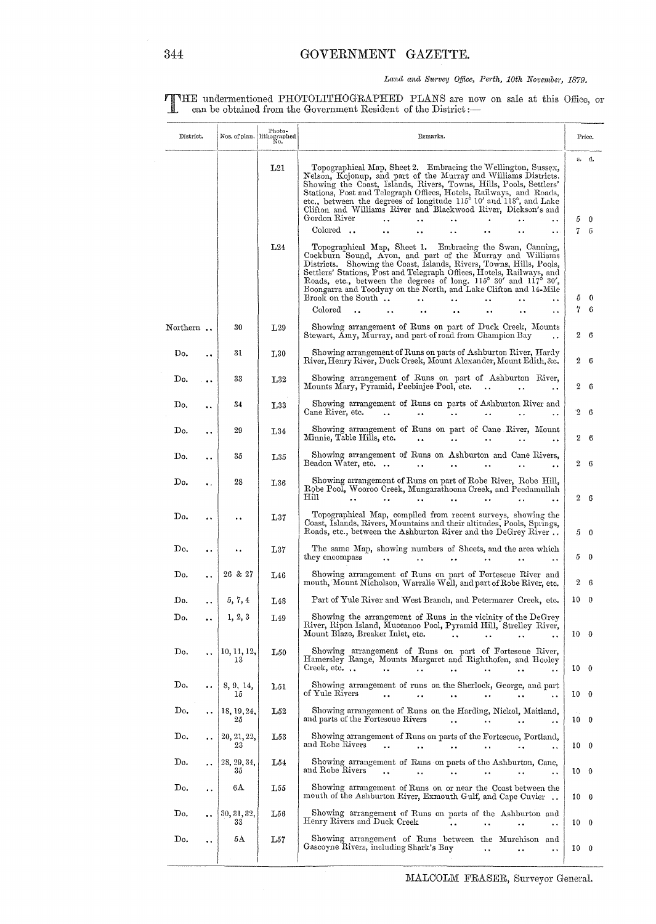# Land and Survey Office, Perth, 10th November, 1879.

THE undermentioned PHOTOLITHOGRAPHED PLANS are now on sale at this Office, or can be obtained from the Government Resident of the District :-

| District.                   |                      | Nos. of plan. Hthographed Nos. of plan. | Remarks.          |                                                                                                                                                                                                                                                                                                                                                                                                                                                                                                               |                 |                |  |  |  |  |
|-----------------------------|----------------------|-----------------------------------------|-------------------|---------------------------------------------------------------------------------------------------------------------------------------------------------------------------------------------------------------------------------------------------------------------------------------------------------------------------------------------------------------------------------------------------------------------------------------------------------------------------------------------------------------|-----------------|----------------|--|--|--|--|
|                             |                      |                                         |                   |                                                                                                                                                                                                                                                                                                                                                                                                                                                                                                               |                 | s. d.          |  |  |  |  |
|                             |                      |                                         | L21               | Topographical Map, Sheet 2. Embracing the Wellington, Sussex,<br>Nelson, Kojonup, and part of the Murray and Williams Districts.<br>Showing the Coast, Islands, Rivers, Towns, Hills, Pools, Settlers'<br>Stations, Post and Telegraph Offices, Hotels, Railways, and Roads,<br>etc., between the degrees of longitude $115^{\circ}$ 10' and $118^{\circ}$ , and Lake<br>Clifton and Williams River and Blackwood River, Dickson's and<br>Gordon River<br>$\ddot{\phantom{a}}$<br>$\ddot{\phantom{0}}$<br>. . | 5               | 0              |  |  |  |  |
|                             |                      |                                         | L24               | Colored<br>Topographical Map, Sheet 1. Embracing the Swan, Canning,<br>Cockburn Sound, Avon, and part of the Murray and Williams<br>Districts. Showing the Coast, Islands, Rivers, Towns, Hills, Pools,<br>Settlers' Stations, Post and Telegraph Offices, Hotels, Railways, and<br>Roads, etc., between the degrees of long. $115^{\circ}$ 30' and $117^{\circ}$ 30',<br>Boongarra and Toodyay on the North, and Lake Clifton and 14-Mile<br>Brook on the South.                                             | 7<br>5          | 6<br>$\theta$  |  |  |  |  |
|                             |                      |                                         |                   | Colored<br>$\ddot{\phantom{a}}$<br>$\ddot{\phantom{0}}$                                                                                                                                                                                                                                                                                                                                                                                                                                                       | 7               | 6              |  |  |  |  |
| $\text{Northern} \; \ldots$ |                      | 30                                      | L29               | Showing arrangement of Runs on part of Duck Creek, Mounts<br>Stewart, Amy, Murray, and part of road from Champion Bay<br>$\ddot{\phantom{a}}$                                                                                                                                                                                                                                                                                                                                                                 | 2               | 6              |  |  |  |  |
| Do.                         |                      | 31                                      | $L_{30}$          | Showing arrangement of Runs on parts of Ashburton River, Hardy<br>River, Henry River, Duck Creek, Mount Alexander, Mount Edith, &c.                                                                                                                                                                                                                                                                                                                                                                           | 2               | 6              |  |  |  |  |
| Do.                         |                      | 33                                      | L32               | Showing arrangement of Runs on part of Ashburton River,<br>Mounts Mary, Pyramid, Peebinjee Pool, etc.<br>$\sim 100$ km s $^{-1}$                                                                                                                                                                                                                                                                                                                                                                              | 2               | 6              |  |  |  |  |
| Do.                         |                      | 34                                      | L33               | Showing arrangement of Runs on parts of Ashburton River and<br>Cane River, etc.<br>$\ddot{\phantom{a}}$                                                                                                                                                                                                                                                                                                                                                                                                       | 2               | -6             |  |  |  |  |
| Do.                         |                      | 29                                      | $L_{34}$          | Showing arrangement of Runs on part of Cane River, Mount<br>Minnie, Table Hills, etc.<br><br><br>$\ddot{\phantom{0}}$                                                                                                                                                                                                                                                                                                                                                                                         | 2               | -6             |  |  |  |  |
| Do.                         | $\ddot{\phantom{0}}$ | 35                                      | L35               | Showing arrangement of Runs on Ashburton and Cane Rivers,<br>Beadon Water, etc<br>$\ddot{\phantom{0}}$                                                                                                                                                                                                                                                                                                                                                                                                        | 2               | -6             |  |  |  |  |
| Do.                         | τ.                   | 28                                      | L36               | Showing arrangement of Runs on part of Robe River, Robe Hill,<br>Robe Pool, Wooroo Creek, Mungarathoona Creek, and Peedamullah<br>Hill                                                                                                                                                                                                                                                                                                                                                                        |                 | 2 <sub>6</sub> |  |  |  |  |
| $\mathbf{D}\mathbf{o}$ .    | $\ddot{\phantom{a}}$ | $\ddot{\phantom{0}}$                    | L37               | Topographical Map, compiled from recent surveys, showing the<br>Coast, Islands, Rivers, Mountains and their altitudes, Pools, Springs,<br>Roads, etc., between the Ashburton River and the DeGrey River                                                                                                                                                                                                                                                                                                       | 5.              | - 0            |  |  |  |  |
| Do.                         |                      |                                         | L37               | The same Map, showing numbers of Sheets, and the area which<br>they encompass<br>$\sim 10^{-10}$<br>$\ddot{\phantom{a}}$<br>$\ddot{\phantom{1}}$<br>$\ddot{\phantom{a}}$                                                                                                                                                                                                                                                                                                                                      | 5               | 0              |  |  |  |  |
| Do.                         |                      | 26 & 27                                 | L46               | Showing arrangement of Runs on part of Fortescue River and<br>mouth, Mount Nicholson, Warralie Well, and part of Robe River, etc.                                                                                                                                                                                                                                                                                                                                                                             | 2               | -6             |  |  |  |  |
| Do.                         |                      | 5, 7, 4                                 | L48               | Part of Yule River and West Branch, and Petermarer Creek, etc.                                                                                                                                                                                                                                                                                                                                                                                                                                                | 10              | $\theta$       |  |  |  |  |
| Do.                         |                      | 1, 2, 3                                 | L49               | Showing the arrangement of Runs in the vicinity of the DeGrey<br>River, Ripon Island, Muccanoo Pool, Pyramid Hill, Strelley River,<br>Mount Blaze, Breaker Inlet, etc.<br>$\ddot{\phantom{a}}$<br>$\ddot{\phantom{1}}$ .<br>$\ddot{\phantom{a}}$<br>$\ddot{\phantom{0}}$                                                                                                                                                                                                                                      | 10 <sub>0</sub> |                |  |  |  |  |
| Do.                         |                      | 10, 11, 12,<br>13                       | I <sub>0</sub> 50 | Showing arrangement of Runs on part of Fortescue River,<br>Hamersley Range, Mounts Margaret and Righthofen, and Hooley<br>Creek, etc. $\ldots$<br>$\ddotsc$<br>$\sim 10^{-10}$ km s $^{-1}$<br>$\sim$ .<br>$\ddot{\phantom{a}}$<br>$\bullet$ $\bullet$ $\bullet$ $\bullet$ $\bullet$ $\bullet$<br>$\bullet$ $\bullet$                                                                                                                                                                                         | 10 <sub>0</sub> |                |  |  |  |  |
| Do.                         | $\ddot{\phantom{1}}$ | 8, 9, 14,<br>15                         | L51               | Showing arrangement of runs on the Sherlock, George, and part<br>of Yule Rivers<br>$\ddot{\phantom{a}}$<br>$\ddot{\phantom{0}}$<br>$\sim$ 4.4 $\pm$<br>$\ddot{\phantom{1}}$<br>$\ddot{\phantom{a}}$ .                                                                                                                                                                                                                                                                                                         | 10 <sub>0</sub> |                |  |  |  |  |
| Do,                         |                      | 18, 19, 24,<br>25                       | L52               | Showing arrangement of Runs on the Harding, Nickol, Maitland,<br>and parts of the Fortescue Rivers<br>$\ddot{\phantom{a}}$<br>$\sim 100$ km s $^{-1}$<br>$\ddot{\phantom{a}}$ .<br>$\ddot{\phantom{1}}$ .                                                                                                                                                                                                                                                                                                     | 10 <sub>0</sub> |                |  |  |  |  |
| $\mathbf{D_0}$              | $\ddot{\phantom{0}}$ | 20, 21, 22,<br>23                       | L53               | Showing arrangement of Runs on parts of the Fortescue, Portland,<br>and Robe Rivers<br>$\ddot{\phantom{a}}$<br>$\sim$ $\sim$ $\sim$<br>$\ddot{\phantom{a}}$<br><br>$\ddot{\phantom{1}}$<br>$\ddotsc$                                                                                                                                                                                                                                                                                                          | 10 0            |                |  |  |  |  |
| Do.                         |                      | 28, 29, 34,<br>35                       | L54               | Showing arrangement of Runs on parts of the Ashburton, Cane,<br>and Robe Rivers<br>$\ddot{\phantom{0}}$                                                                                                                                                                                                                                                                                                                                                                                                       | 10 <sub>0</sub> |                |  |  |  |  |
| Do.                         | $\bullet$ $\bullet$  | 6A                                      | L55               | Showing arrangement of Runs on or near the Coast between the<br>mouth of the Ashburton River, Exmouth Gulf, and Cape Cuvier                                                                                                                                                                                                                                                                                                                                                                                   | 10 0            |                |  |  |  |  |
| Do.                         |                      | 30, 31, 32,<br>33                       | $\rm L56$         | Showing arrangement of Runs on parts of the Ashburton and<br>Henry Rivers and Duck Creek<br>$\sim$ $\sim$                                                                                                                                                                                                                                                                                                                                                                                                     | 10 <sub>0</sub> |                |  |  |  |  |
| $\mathbf{D}\mathbf{o}$ .    |                      | 5A                                      | L57               | Showing arrangement of Runs between the Murchison and<br>Gascoyne Rivers, including Shark's Bay<br>$\ddot{\phantom{a}}$<br>$\ddot{\phantom{a}}$<br>$\ddotsc$                                                                                                                                                                                                                                                                                                                                                  | 10 <sub>0</sub> |                |  |  |  |  |
|                             |                      |                                         |                   |                                                                                                                                                                                                                                                                                                                                                                                                                                                                                                               |                 |                |  |  |  |  |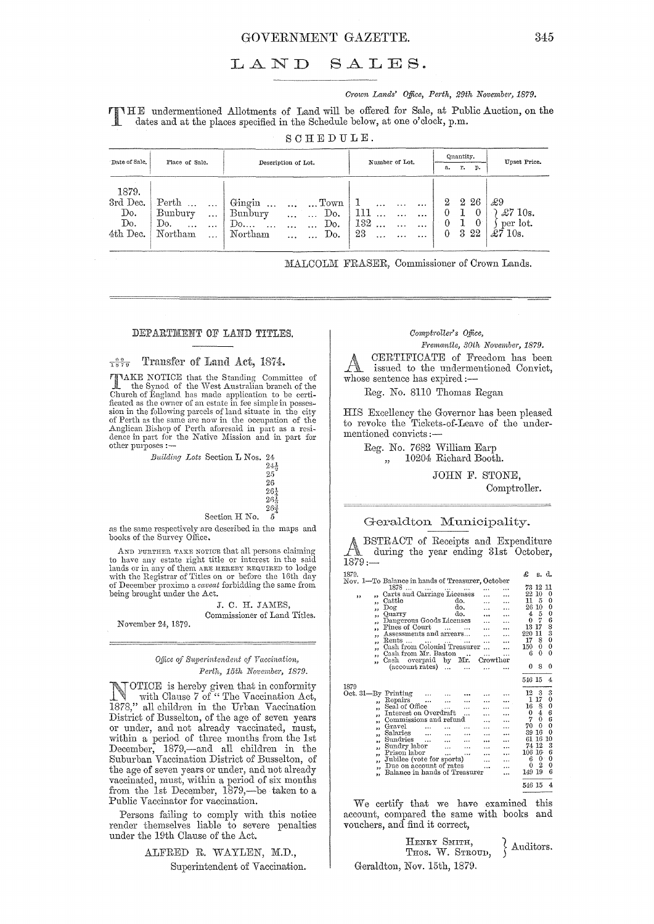# GOVERNMENT GAZETTE. 345

# LAND SALES.

*Crown Lands' Office, Perth, 29th November,* 1879.

T HE undermentioned Allotments of Land will be offered for Sale, at Public Auction, on the dates and at the places specified in the Schedule below, at one o'clock, p.m.

SCHEDULE.

| Date of Sale.                               | Place of Sale.                                                                                  | Description of Lot.                                                                                                                                                                         | Number of Lot.                                                                                                        | Quantity.<br>r.<br>p.<br>a.                               | Upset Price.                                         |
|---------------------------------------------|-------------------------------------------------------------------------------------------------|---------------------------------------------------------------------------------------------------------------------------------------------------------------------------------------------|-----------------------------------------------------------------------------------------------------------------------|-----------------------------------------------------------|------------------------------------------------------|
| 1879.<br>3rd Dec.<br>Do.<br>Do.<br>4th Dec. | Perth<br>$\cdots$<br>Bunbury<br>$\cdots$<br>Do.<br>$\ddotsc$<br>$\cdots$<br>Northam<br>$\cdots$ | Gingin<br>$\ldots$ Town<br>$\cdots$<br>$\ddotsc$<br>Bunbury<br>Do.<br>$\overline{1}$<br>$\ddotsc$<br>Do.<br>$\mathbb{D}$ <sup>0</sup><br>$\cdots$<br>$\cdots$<br>Northam<br>Do.<br>$\cdots$ | $\mathbf{r}$<br>$\cdots$<br>$\ddotsc$<br>111<br>$\cdots$<br>132<br>$\cdots$<br>$\cdots$<br>$\cdots$<br>23<br>$\cdots$ | 2 26<br>2<br>0<br>∪<br>0<br>$\theta$<br>3 2 2<br>$\Omega$ | £9<br>$\pounds 710$ s.<br>per lot.<br>$\pounds710s.$ |

MALCOLM FRASER, Commissioner of Crown Lands.

#### DEPARTMENT OF LAND TITLES.

#### $\frac{99}{1879}$  Transfer of Land Act, 1874.

TAKE NOTICE that the Standing Committee of the Synod of the \Vest Australian branch of the Church of England has made application to be certificated as the owner of an estate in fee simple in possession in the following parcels of land situate in the city of Perth as the same are now in the occupation of the Anglican Bishop of Perth aforesaid in part as a residence in part for the Native Mission and in part for other purposes :-

| Building Lots Section L Nos. 24 |               |                 |
|---------------------------------|---------------|-----------------|
|                                 |               | $24\frac{1}{2}$ |
|                                 |               | 25              |
|                                 |               | 26              |
|                                 |               | $26\frac{1}{4}$ |
|                                 |               | $26\frac{1}{2}$ |
|                                 |               | $26^2$          |
|                                 | Section H No. |                 |

as the same respectively axe described in the maps and books of the Survey Office.

AND FURTHER TAKE NOTICE that all persons claiming to have any estate right title or interest in the said lands or in any of them ARE HEREBY REQUIRED to lodge with the Registrar of Titles on or before the 16th day of December proximo a *caveat* forbidding the same from being brought under the Aet.

> J. C. H. JAMES. Commissioner of Land TItles.

November 24, 1879.

#### *Office of Stlpe)'intendent of Vaccination,*  Perth, 15th *November, 1879.*

**NOTICE** is hereby given that in conformity with Clause 7 of " The Vaccination Act, 1878," all children in the Urban Vaccination District of Busselton, of the age of seven years or under, and not already vaccinated, must, within a period of three months from the 1st December, 1879,—and all children in the Suburban Vaccination District of Busselton, of the age of seven years or under, and not already vaccinated, must, within a period of six months from the 1st December, 1879,—be taken to a Public Vaccinator for vaccination.

Persons failing to comply with this notice render themselves liable to severe penalties under the 19th Clause of the Act.

> ALFRED R. WAYLEN, M.D., Superintendent of Vaccination.

# $Comptroller's$  Office,

*Ftemantle,* 30th *November, 1879.*  CERTIFICATE of Freedom has been issued to the undermentioned Convict, whose sentence has expired:-

Reg. No. 8110 Thomas Regan

HIS Excellency the Governor has been pleased to revoke the Tickets-of-Leave of the undermentioned convicts :-

Reg. No. 7682 William Earp " 10204 Richard Booth.

> JOHN F. STONE, Comptroller.

## Geraldton Municipality.

ABSTRACT of Receipts and Expenditure during the year ending 31st October, 1879:- £ s. d. 1879. Nov. I-To Balance in hands of Treasurer, October 1878 ... ... ... . .. " Carts and Carriage Licenses " Cattle do. " Dog do. <sup>H</sup>Quarry do. " Dangerous Goods Licenses " Fines of COlU·t ... . .. " Assessments and arrears .. . " Rents ... ... ,.. ... . .. " Cash from Colonial Treasurer ... Cash from ::ITr. Baston .. " Cash overpaid by lIIr. Crowther (account rates)  $\begin{array}{r} 73 \ 12 \ 11 \ 22 \ 10 \ \ 0 \ 11 \ \ 5 \ \ 0 \ 26 \ 10 \ \ 0 \ \ 4 \ \ 5 \ \ 0 \ \ 4 \ \ 5 \ \ 0 \ \end{array}$  $\begin{array}{r} 0 \ 7 \ 6 \ 13 \ 17 \ 8 \ 220 \ 11 \ 3 \ 17 \ 8 \ 0 \ 150 \ 0 \ 0 \ 6 \ 0 \ 0 \end{array}$ 080 54615 4 *1870*  Oct.31-By Printing  $\begin{array}{c} 12 & 3 & 3 \\ 1 & 17 & 0 \\ 16 & 8 & 0 \\ 0 & 4 & 6 \\ 7 & 0 & 6 \\ \end{array}$ "Repairs ... " Seal of Office ... . .. " Interest on Overdraft ... " Commissions und refuucl " Gravel " Salaries " Sundries " Sundry lator ... " Prison labor .. \_ " Jubilee (vote for sports) " Due on account of rates ... H Balance in hands of Treasurer  $\ddotsc$  $\ddotsc$  $\begin{array}{c} \ldots \\ \ldots \\ \ldots \\ \ldots \\ \ldots \end{array}$  $70\ \ 0\ \ 9$ <br>  $61\ \ 16\ \ 10$ <br>  $74\ \ 12\ \ 3$ <br>  $106\ \ 16\ \ 6\ \ 0\ \ 0$ <br>  $0\ \ 2\ \ 0$ <br>  $149\ \ 19\ \ 6$  $\begin{array}{c}\n... \\
... \\
... \\
... \\
... \\
... \n\end{array}$ 54615 4

We certify that we have examined this account, compared the same with books and vouchers, and find it correct,

|                             | HENRY SMITH.<br>THOS. W. STROUD, |  | $\Delta$ uditors. |
|-----------------------------|----------------------------------|--|-------------------|
| Geraldton, Nov. 15th, 1879. |                                  |  |                   |